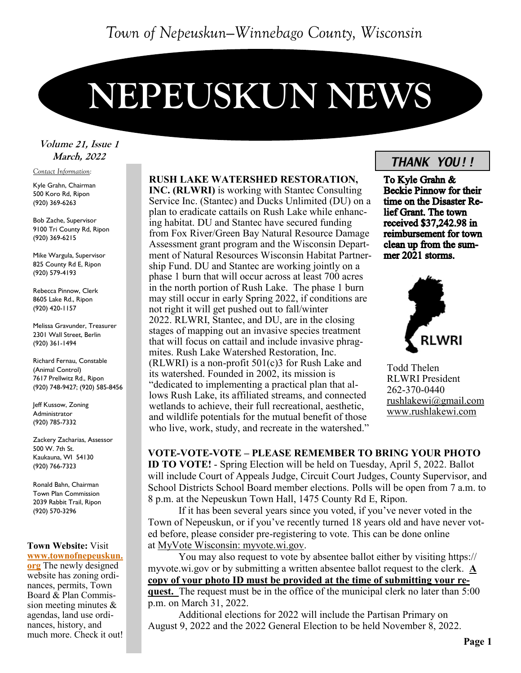# **NEPEUSKUN NEWS**

### Volume 21, Issue 1 March, 2022

#### *Contact Information:*

Kyle Grahn, Chairman 500 Koro Rd, Ripon (920) 369-6263

Bob Zache, Supervisor 9100 Tri County Rd, Ripon (920) 369-6215

Mike Wargula, Supervisor 825 County Rd E, Ripon (920) 579-4193

Rebecca Pinnow, Clerk 8605 Lake Rd., Ripon (920) 420-1157

Melissa Gravunder, Treasurer 2301 Wall Street, Berlin (920) 361-1494

Richard Fernau, Constable (Animal Control) 7617 Prellwitz Rd., Ripon (920) 748-9427; (920) 585-8456

Jeff Kussow, Zoning Administrator (920) 785-7332

Zackery Zacharias, Assessor 500 W. 7th St. Kaukauna, WI 54130 (920) 766-7323

Ronald Bahn, Chairman Town Plan Commission 2039 Rabbit Trail, Ripon (920) 570-3296

#### **Town Website:** Visit **[www.townofnepeuskun.](http://www.townofnepeuskun.org/)**

**[org](http://www.townofnepeuskun.org/)** The newly designed website has zoning ordinances, permits, Town Board & Plan Commission meeting minutes & agendas, land use ordinances, history, and much more. Check it out!

#### **RUSH LAKE WATERSHED RESTORATION,**

**INC. (RLWRI)** is working with Stantec Consulting Service Inc. (Stantec) and Ducks Unlimited (DU) on a plan to eradicate cattails on Rush Lake while enhancing habitat. DU and Stantec have secured funding from Fox River/Green Bay Natural Resource Damage Assessment grant program and the Wisconsin Department of Natural Resources Wisconsin Habitat Partnership Fund. DU and Stantec are working jointly on a phase 1 burn that will occur across at least 700 acres in the north portion of Rush Lake. The phase 1 burn may still occur in early Spring 2022, if conditions are not right it will get pushed out to fall/winter 2022. RLWRI, Stantec, and DU, are in the closing stages of mapping out an invasive species treatment that will focus on cattail and include invasive phragmites. Rush Lake Watershed Restoration, Inc. (RLWRI) is a non-profit 501(c)3 for Rush Lake and its watershed. Founded in 2002, its mission is "dedicated to implementing a practical plan that allows Rush Lake, its affiliated streams, and connected wetlands to achieve, their full recreational, aesthetic, and wildlife potentials for the mutual benefit of those who live, work, study, and recreate in the watershed."

# **September, 2021** *THANK YOU!!*

To Kyle Grahn & **Beckie Pinnow for their** time on the Disaster Relief Grant. The town received \$37,242.98 in reimbursement for town clean up from the summer 2021 storms.



Todd Thelen RLWRI President 262-370-0440 [rushlakewi@gmail.com](mailto:rushlakewi@gmail.com) [www.rushlakewi.com](http://www.rushlakewi.com)

**VOTE-VOTE-VOTE – PLEASE REMEMBER TO BRING YOUR PHOTO ID TO VOTE!** - Spring Election will be held on Tuesday, April 5, 2022. Ballot will include Court of Appeals Judge, Circuit Court Judges, County Supervisor, and School Districts School Board member elections. Polls will be open from 7 a.m. to 8 p.m. at the Nepeuskun Town Hall, 1475 County Rd E, Ripon.

If it has been several years since you voted, if you've never voted in the Town of Nepeuskun, or if you've recently turned 18 years old and have never voted before, please consider pre-registering to vote. This can be done online at [MyVote Wisconsin: myvote.wi.gov.](http://myvote.wi.gov/)

You may also request to vote by absentee ballot either by visiting https:// myvote.wi.gov or by submitting a written absentee ballot request to the clerk. **A copy of your photo ID must be provided at the time of submitting your request.** The request must be in the office of the municipal clerk no later than 5:00 p.m. on March 31, 2022.

Additional elections for 2022 will include the Partisan Primary on August 9, 2022 and the 2022 General Election to be held November 8, 2022.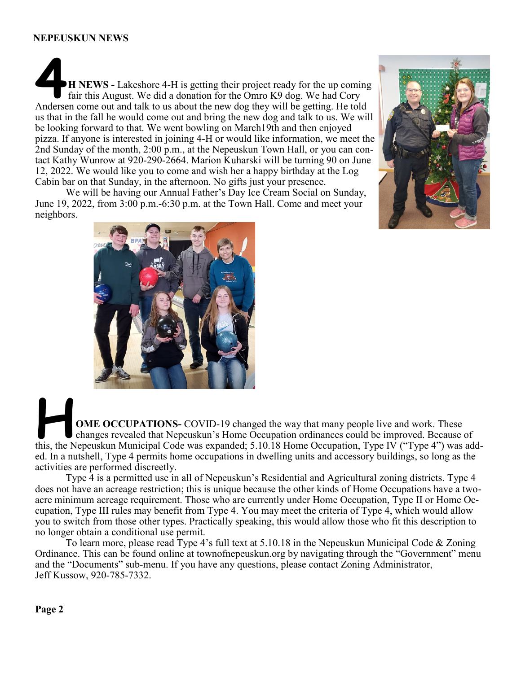#### **NEPEUSKUN NEWS**

**4H NEWS -** Lakeshore 4-H is getting their project ready for the up coming fair this August. We did a donation for the Omro K9 dog. We had Cory Andersen come out and talk to us about the new dog they will be getting. He told us that in the fall he would come out and bring the new dog and talk to us. We will be looking forward to that. We went bowling on March19th and then enjoyed pizza. If anyone is interested in joining 4-H or would like information, we meet the 2nd Sunday of the month, 2:00 p.m., at the Nepeuskun Town Hall, or you can contact Kathy Wunrow at 920-290-2664. Marion Kuharski will be turning 90 on June 12, 2022. We would like you to come and wish her a happy birthday at the Log Cabin bar on that Sunday, in the afternoon. No gifts just your presence.

We will be having our Annual Father's Day Ice Cream Social on Sunday, June 19, 2022, from 3:00 p.m.-6:30 p.m. at the Town Hall. Come and meet your neighbors.





**Heroel COME OCCUPATIONS** COVID-19 changed the way that many people live and work. These changes revealed that Nepeuskun's Home Occupation ordinances could be improved. Because this the Nepeuskun Municipal Code was expande changes revealed that Nepeuskun's Home Occupation ordinances could be improved. Because of this, the Nepeuskun Municipal Code was expanded; 5.10.18 Home Occupation, Type IV ("Type 4") was added. In a nutshell, Type 4 permits home occupations in dwelling units and accessory buildings, so long as the activities are performed discreetly.

Type 4 is a permitted use in all of Nepeuskun's Residential and Agricultural zoning districts. Type 4 does not have an acreage restriction; this is unique because the other kinds of Home Occupations have a twoacre minimum acreage requirement. Those who are currently under Home Occupation, Type II or Home Occupation, Type III rules may benefit from Type 4. You may meet the criteria of Type 4, which would allow you to switch from those other types. Practically speaking, this would allow those who fit this description to no longer obtain a conditional use permit.

To learn more, please read Type 4's full text at 5.10.18 in the Nepeuskun Municipal Code & Zoning Ordinance. This can be found online at townofnepeuskun.org by navigating through the "Government" menu and the "Documents" sub-menu. If you have any questions, please contact Zoning Administrator, Jeff Kussow, 920-785-7332.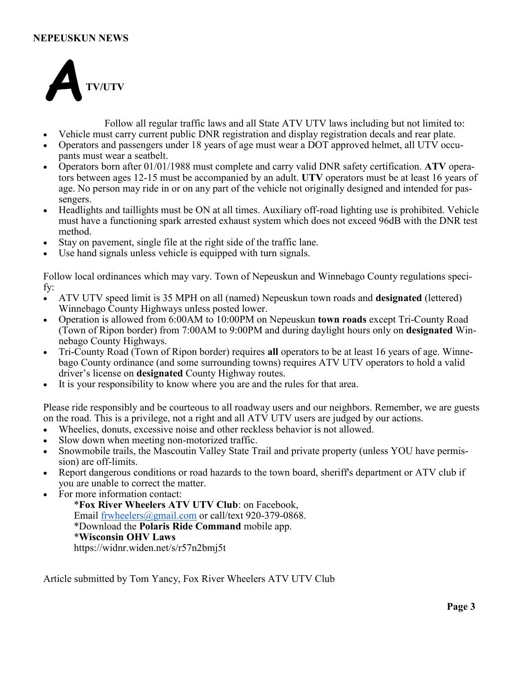#### **NEPEUSKUN NEWS**



Follow all regular traffic laws and all State ATV UTV laws including but not limited to:

- Vehicle must carry current public DNR registration and display registration decals and rear plate. • Operators and passengers under 18 years of age must wear a DOT approved helmet, all UTV occu-
- pants must wear a seatbelt.
- Operators born after 01/01/1988 must complete and carry valid DNR safety certification. **ATV** operators between ages 12-15 must be accompanied by an adult. **UTV** operators must be at least 16 years of age. No person may ride in or on any part of the vehicle not originally designed and intended for passengers.
- Headlights and taillights must be ON at all times. Auxiliary off-road lighting use is prohibited. Vehicle must have a functioning spark arrested exhaust system which does not exceed 96dB with the DNR test method.
- Stay on pavement, single file at the right side of the traffic lane.
- Use hand signals unless vehicle is equipped with turn signals.

Follow local ordinances which may vary. Town of Nepeuskun and Winnebago County regulations specify:

- ATV UTV speed limit is 35 MPH on all (named) Nepeuskun town roads and **designated** (lettered) Winnebago County Highways unless posted lower.
- Operation is allowed from 6:00AM to 10:00PM on Nepeuskun **town roads** except Tri-County Road (Town of Ripon border) from 7:00AM to 9:00PM and during daylight hours only on **designated** Winnebago County Highways.
- Tri-County Road (Town of Ripon border) requires **all** operators to be at least 16 years of age. Winnebago County ordinance (and some surrounding towns) requires ATV UTV operators to hold a valid driver's license on **designated** County Highway routes.
- It is your responsibility to know where you are and the rules for that area.

Please ride responsibly and be courteous to all roadway users and our neighbors. Remember, we are guests on the road. This is a privilege, not a right and all ATV UTV users are judged by our actions.

- Wheelies, donuts, excessive noise and other reckless behavior is not allowed.
- Slow down when meeting non-motorized traffic.
- Snowmobile trails, the Mascoutin Valley State Trail and private property (unless YOU have permission) are off-limits.
- Report dangerous conditions or road hazards to the town board, sheriff's department or ATV club if you are unable to correct the matter.
- For more information contact:

\***Fox River Wheelers ATV UTV Club**: on Facebook, Email [frwheelers@gmail.com](mailto:frwheelers@gmail.com) or call/text 920-379-0868. \*Download the **Polaris Ride Command** mobile app. \***Wisconsin OHV Laws** https://widnr.widen.net/s/r57n2bmj5t

Article submitted by Tom Yancy, Fox River Wheelers ATV UTV Club